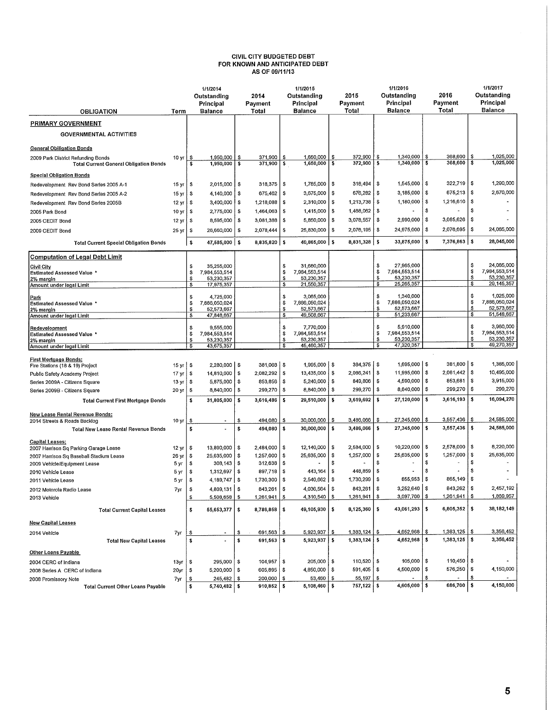## **CIVIL CITY BUDGETED DEBT FOR KNOWN AND ANTICIPATED DEBT AS OF 09/11/13**

|                                                                                     |                  | 1/1/2014<br>Outstanding                  |          | 2014                               |          | 1/1/2015<br>Outstanding                |           | 2015                               |           | 1/1/2016<br>Outstanding       |          | 2016                 |                               | 1/1/2017<br>Outstanding     |  |
|-------------------------------------------------------------------------------------|------------------|------------------------------------------|----------|------------------------------------|----------|----------------------------------------|-----------|------------------------------------|-----------|-------------------------------|----------|----------------------|-------------------------------|-----------------------------|--|
|                                                                                     |                  | Principal                                |          | Payment                            |          | Principal                              |           | Payment                            |           | Principal                     |          | Payment              |                               | Principal                   |  |
| <b>OBLIGATION</b>                                                                   | Term             | <b>Balance</b>                           |          | Total                              |          | Balance                                |           | Total                              |           | <b>Balance</b>                |          | Total                |                               | <b>Balance</b>              |  |
| <b>PRIMARY GOVERNMENT</b>                                                           |                  |                                          |          |                                    |          |                                        |           |                                    |           |                               |          |                      |                               |                             |  |
| <b>GOVERNMENTAL ACTIVITIES</b>                                                      |                  |                                          |          |                                    |          |                                        |           |                                    |           |                               |          |                      |                               |                             |  |
| <b>General Obiligation Bonds</b>                                                    |                  |                                          |          |                                    |          |                                        |           |                                    |           |                               |          |                      |                               |                             |  |
| 2009 Park District Refunding Bonds<br><b>Total Current General Obligation Bonds</b> | 10 <sub>yr</sub> | 1,950,000<br>\$<br>$1,950,000$   \$<br>Ś | \$       | 371,900<br>$371,900$ $\frac{1}{5}$ | s        | 1,650,000<br>1,650,000                 | \$<br>-\$ | 372,900<br>$372,900$ $\frac{1}{5}$ | \$        | 1,340,000<br>$1,340,000$   \$ | \$       | 368,600<br>368,600   | \$<br>$\overline{\mathbf{s}}$ | 1,025,000<br>1,025,000      |  |
| <b>Special Obligation Bonds</b>                                                     |                  |                                          |          |                                    |          |                                        |           |                                    |           |                               |          |                      |                               |                             |  |
| Redevelopment Rev Bond Series 2005 A-1                                              | 15 yr            | \$<br>2,015,000                          | \$       | 318,375                            | \$       | 1,785,000                              | \$.       | 318,494                            | \$        | 1,545,000                     | \$       | 322,719              | \$                            | 1,290,000                   |  |
| Redevelopment Rev Bond Series 2005 A-2                                              | 15 yr            | \$<br>4,140,000                          | s        | 675,462                            | \$       | 3,675,000                              | -\$       | $676,282$ $\frac{1}{5}$            |           | 3,185,000                     | \$       | 675,213              | \$                            | 2,670,000                   |  |
| Redevelopment Rev Bond Series 2005B                                                 | 12 yr            | 3,400,000<br>\$                          | \$       | 1,218,088                          | \$       | 2,310,000                              | \$.       | 1,213,738                          | -S        | 1,180,000                     | \$       | 1,216,610            | \$                            |                             |  |
| 2005 Park Bond                                                                      | 10 <sub>yr</sub> | 2,775,000<br>\$                          | \$       | 1,464,063                          | \$       | 1,415,000                              | \$        | 1,468,062                          | -\$       |                               | \$       |                      | s                             |                             |  |
| 2005 CEDIT Bond                                                                     | 12 yr            | \$<br>8,595,000                          | \$       | 3,081,388                          | \$       | 5,850,000                              | -S        | 3,078,557                          | -\$       | 2,990,000                     | \$       | 3,085,626            | \$                            |                             |  |
| 2009 CEDIT Bond                                                                     | 25 yr            | \$<br>26,660,000                         | S        | 2,078,444                          | \$       | 25,830,000                             | <b>s</b>  | 2,076,195                          | l s       | 24,975,000                    | \$       | 2,076,695            | \$                            | 24,085,000                  |  |
| <b>Total Current Special Obligation Bonds</b>                                       |                  | $\ddot{\bm{s}}$<br>47,585,000 \$         |          | $8,835,820$ \$                     |          | $40,865,000$ \$                        |           | $8,831,328$ \$                     |           | 33,875,000                    | s        | $7,376,863$ \$       |                               | 28,045,000                  |  |
| <b>Computation of Legal Debt Limit</b>                                              |                  |                                          |          |                                    |          |                                        |           |                                    |           |                               |          |                      |                               |                             |  |
| <b>Civil City</b>                                                                   |                  | \$<br>35,255,000                         |          |                                    | \$       | 31,680,000                             |           |                                    | \$        | 27,965,000<br>7,984,553,514   |          |                      | \$<br>S                       | 24,085,000<br>7,984.553,514 |  |
| Estimated Assessed Value *<br>2% margin                                             |                  | 7,984,553,514<br>\$<br>\$<br>53,230,357  |          |                                    | \$<br>Ŝ  | 7,984,553,514<br>53,230,357            |           |                                    | \$<br>\$  | 53,230,357                    |          |                      | \$                            | 53,230,357                  |  |
| Amount under legal Limit                                                            |                  | 17,975,357<br>\$                         |          |                                    | s        | 21,550,357                             |           |                                    | s         | 25,265,357                    |          |                      | \$                            | 29, 145, 357                |  |
| Park                                                                                |                  | \$<br>4,725,000                          |          |                                    | S        | 3,065,000                              |           |                                    | \$        | 1,340,000                     |          |                      | \$                            | 1,025,000                   |  |
| <b>Estimated Assessed Value *</b>                                                   |                  | 7,886,050,024<br>\$                      |          |                                    | s        | 7,886,050,024                          |           |                                    | \$<br>s   | 7,886,050,024<br>52,573,667   |          |                      | S<br>S                        | 7.886,050,024<br>52,573,667 |  |
| 2% margin<br>Amount under legal Limit                                               |                  | \$<br>52,573,667<br>s<br>47,848,667      |          |                                    | s<br>\$  | 52,573,667<br>49,508,667               |           |                                    | s         | 51,233,667                    |          |                      | \$                            | 51,548,667                  |  |
|                                                                                     |                  |                                          |          |                                    |          |                                        |           |                                    |           |                               |          |                      | \$                            | 3,960,000                   |  |
| Redevelopment<br><b>Estimated Assessed Value *</b>                                  |                  | -S<br>9,555,000<br>\$<br>7,984,553,514   |          |                                    | \$<br>\$ | 7.770.000<br>7,984,553,514             |           |                                    | \$<br>\$  | 5,910,000<br>7,984,553,514    |          |                      | \$                            | 7,984,553,514               |  |
| 2% margin                                                                           |                  | \$<br>53,230,357                         |          |                                    | Ś        | 53,230,357                             |           |                                    | \$        | 53,230,357                    |          |                      | S                             | 53,230,357                  |  |
| Amount under legal Limit                                                            |                  | ॱऽ<br>43,675,357                         |          |                                    | s        | 45,460,357                             |           |                                    | s         | 47,320,357                    |          |                      | \$                            | 49,270,357                  |  |
| <b>First Mortgage Bonds:</b>                                                        |                  |                                          |          |                                    |          |                                        |           |                                    |           |                               |          |                      |                               |                             |  |
| Fire Stations (18 & 19) Project                                                     | 15 yr $\vert$ \$ | $2,280,000$ $\mid$ \$                    |          | $381,068$ $\frac{1}{5}$            |          | $1,995,000$ \ \$                       |           | $384,375$ $\frac{1}{5}$            |           | $1,695,000$   \$              |          | $381,800$ $\sqrt{5}$ |                               | 1,385,000                   |  |
| Public Safety Academy Project                                                       | 17 yr            | 14,810,000<br>-S                         | \$       | 2,082,292                          | \$       | 13,435,000                             | -\$       | 2,086,241                          | '\$       | 11,995,000                    | \$       | 2,081,442<br>853,681 | \$<br>\$                      | 10,495,000<br>3,915,000     |  |
| Series 2009A - Citizens Square                                                      | 13 yr            | -S<br>5,875,000<br>\$<br>8,840,000       | \$<br>\$ | 853,856<br>299,270                 | \$<br>\$ | $5,240,000$ $\frac{1}{5}$<br>8,840,000 | \$        | 849,806<br>299,270                 | ۱s<br>١\$ | 4,590,000<br>8,840,000        | \$<br>\$ | 299,270              | \$                            | 299,270                     |  |
| Series 2009B - Citizens Square                                                      | 20 yr            |                                          |          |                                    |          |                                        |           |                                    |           |                               | s        |                      | \$                            |                             |  |
| <b>Total Current First Mortgage Bonds</b>                                           |                  | \$<br>31,805,000                         | s        | 3,616,486                          | \$       | 29,510,000                             | ۱s        | 3,619,692                          | ۱s        | 27,120,000                    |          | 3,616,193            |                               | 16,094,270                  |  |
| New Lease Rental Revenue Bonds:<br>2014 Streets & Roads Backlog                     | 10 <sub>yr</sub> | \$                                       | \$       | 494,080                            | s        | 30,000,000                             | \$        | 3,486,066                          | s         | 27,345,000                    | \$       | 3,557,436            | \$                            | 24,585,000                  |  |
| Total New Lease Rental Revenue Bonds                                                |                  | \$                                       | S        | 494,080                            | s        | 30,000,000                             | \$        | 3,486,066                          | - \$      | 27,345,000                    | \$       | 3,557,436            | \$                            | 24,585,000                  |  |
| <b>Capital Leases:</b>                                                              |                  |                                          |          |                                    |          |                                        |           |                                    |           |                               |          |                      |                               |                             |  |
| 2007 Harrison Sq Parking Garage Lease                                               | 12 <sub>yr</sub> | \$<br>13,890,000                         | \$       | 2,484,000                          | \$       | 12,140,000                             | \$        | 2,584,000                          | -\$       | 10,220,000                    | \$       | 2,578,000            | \$.                           | 8,220,000                   |  |
| 2007 Harrison Sq Baseball Stadium Lease                                             | 26 yr            | 25,635,000<br>\$                         | \$       | 1,257,000                          | \$       | 25,635,000                             | \$        | 1,257,000                          | s<br>\$   | 25,635,000                    | \$<br>\$ | 1,257,000            | $\mathbf{\hat{s}}$<br>\$      | 25,635,000                  |  |
| 2009 Vehicle/Equipment Lease                                                        | 5 yr             | \$<br>308,143<br>\$<br>1,312,697         | \$<br>\$ | 312,638<br>897,718                 | \$<br>s  | 443.164                                | \$<br>-\$ | 448,859                            | s         |                               | s        |                      | Ŝ                             |                             |  |
| 2010 Vehicle Lease<br>2011 Vehicle Lease                                            | 5 yr<br>5 yr     | \$.<br>4,189,747 $\mid$ \$               |          | 1,730,300                          | \$       | 2,540,662 S                            |           | 1,730,299                          | <b>S</b>  | 855,953                       | 3 ا      | 865,149              | s                             |                             |  |
| 2012 Motorola Radio Lease                                                           | 7yr              | - \$<br>$4,809,131$ $\frac{8}{3}$        |          | $843,261$ \$                       |          | 4,036,564   \$                         |           | 843,261   \$                       |           | $3,252,640$   \$              |          | 843,262   \$         |                               | 2,457,192                   |  |
| 2013 Vehicle                                                                        |                  | $5,508,658$ \$<br>\$                     |          | 1,261,941 \$                       |          | 4,310,540 \$                           |           | $1,261,941$   \$                   |           | $3,097,700$ \$                |          | $1,261,941$ \$       |                               | 1,869,957                   |  |
| <b>Total Current Capital Leases</b>                                                 |                  | \$<br>$55,653,377$ $\frac{1}{5}$         |          | 8,786,858 \$                       |          | $49,105,930$ \\$                       |           | $8,125.360$ \$                     |           | $43,061,293$ \$               |          | $6,805,352$ \$       |                               | 38,182,149                  |  |
| <b>New Capital Leases</b>                                                           |                  |                                          |          |                                    |          |                                        |           |                                    |           |                               |          |                      |                               |                             |  |
| 2014 Vehicle                                                                        | 7yr              | \$                                       | \$       | 691,563                            | -S       | 5,923,937 \$                           |           | $1,383,124$   \$                   |           | $4,652,968$ $\frac{8}{3}$     |          | $1,383,125$ \$       |                               | 3,356,452                   |  |
| <b>Total New Capital Leases</b>                                                     |                  | \$                                       | \$       | $691,563$ \$                       |          | $5,923,937$ \$                         |           | $1,383,124$   \$                   |           | $4,652,968$ \$                |          | $1,383,125$ \$       |                               | 3,356,452                   |  |
| Other Loans Payable                                                                 |                  |                                          |          |                                    |          |                                        |           |                                    |           |                               |          |                      |                               |                             |  |
| 2004 CERC of Indiana                                                                | 13yr             | $295,000$   \$<br>\$                     |          | $104.957$ \$                       |          | $205,000$ \$                           |           | 110,520 $\frac{1}{2}$              |           | $105,000$ $\frac{1}{5}$       |          | $110,450$   \$       |                               |                             |  |
| 2008 Series A CERC of Indiana                                                       | 20yr             | $5,200,000$   \$<br>\$                   |          | $605,895$ $\frac{2}{3}$            |          | 4,850,000 \$                           |           | $591,405$ $\frac{8}{3}$            |           | 4,500,000 $\frac{1}{5}$       |          | $576,250$ \$         |                               | 4,150,000                   |  |
| 2008 Promissory Note                                                                | 7yr              | $245,482$ \$<br>\$                       |          | $200,000$ $\frac{1}{5}$            |          | $53,460$ \$                            |           | $55,197$ \ \$                      |           |                               | \$       |                      | \$                            |                             |  |
| <b>Total Current Other Loans Payable</b>                                            |                  | $5,740,482$ \$<br>\$                     |          | $910,852$ \$                       |          | $5,108,460$ \$                         |           | 757,122   \$                       |           | $4,605,000$ \$                |          | 686,700              | \$                            | 4,150,000                   |  |